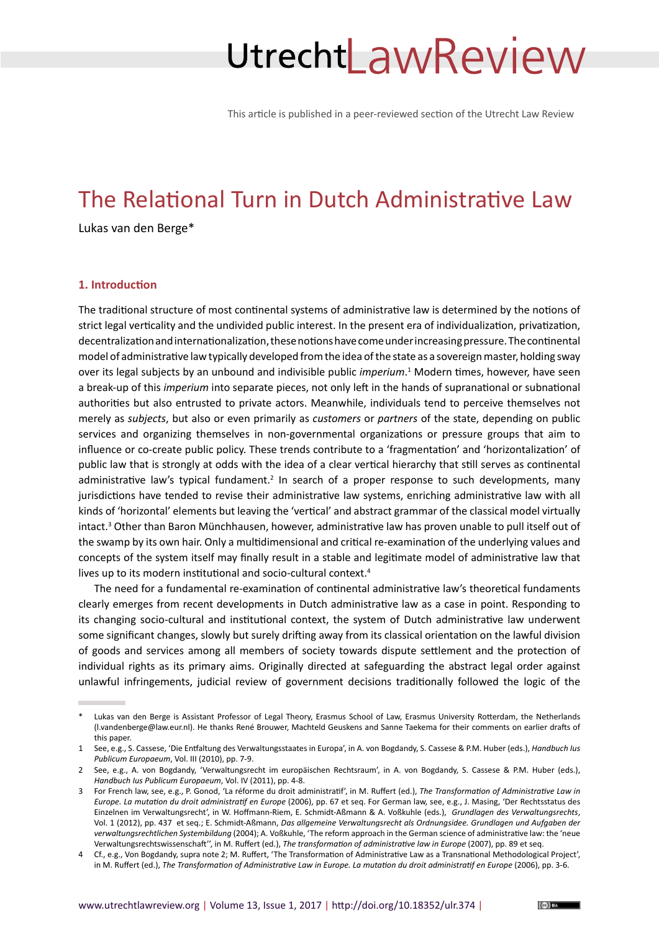# UtrechtLawReview

This article is published in a peer-reviewed section of the Utrecht Law Review

# The Relational Turn in Dutch Administrative Law

Lukas van den Berge\*

# **1. Introduction**

The traditional structure of most continental systems of administrative law is determined by the notions of strict legal verticality and the undivided public interest. In the present era of individualization, privatization, decentralization and internationalization, these notions have come under increasing pressure. The continental model of administrative law typically developed from the idea of the state as a sovereign master, holding sway over its legal subjects by an unbound and indivisible public *imperium*. 1 Modern times, however, have seen a break-up of this *imperium* into separate pieces, not only left in the hands of supranational or subnational authorities but also entrusted to private actors. Meanwhile, individuals tend to perceive themselves not merely as *subjects*, but also or even primarily as *customers* or *partners* of the state, depending on public services and organizing themselves in non-governmental organizations or pressure groups that aim to influence or co-create public policy. These trends contribute to a 'fragmentation' and 'horizontalization' of public law that is strongly at odds with the idea of a clear vertical hierarchy that still serves as continental administrative law's typical fundament.<sup>2</sup> In search of a proper response to such developments, many jurisdictions have tended to revise their administrative law systems, enriching administrative law with all kinds of 'horizontal' elements but leaving the 'vertical' and abstract grammar of the classical model virtually intact.<sup>3</sup> Other than Baron Münchhausen, however, administrative law has proven unable to pull itself out of the swamp by its own hair. Only a multidimensional and critical re-examination of the underlying values and concepts of the system itself may finally result in a stable and legitimate model of administrative law that lives up to its modern institutional and socio-cultural context.<sup>4</sup>

The need for a fundamental re-examination of continental administrative law's theoretical fundaments clearly emerges from recent developments in Dutch administrative law as a case in point. Responding to its changing socio-cultural and institutional context, the system of Dutch administrative law underwent some significant changes, slowly but surely drifting away from its classical orientation on the lawful division of goods and services among all members of society towards dispute settlement and the protection of individual rights as its primary aims. Originally directed at safeguarding the abstract legal order against unlawful infringements, judicial review of government decisions traditionally followed the logic of the

Lukas van den Berge is Assistant Professor of Legal Theory, Erasmus School of Law, Erasmus University Rotterdam, the Netherlands (l.vandenberge@law.eur.nl). He thanks René Brouwer, Machteld Geuskens and Sanne Taekema for their comments on earlier drafts of this paper.

<sup>1</sup> See, e.g., S. Cassese, 'Die Entfaltung des Verwaltungsstaates in Europa', in A. von Bogdandy, S. Cassese & P.M. Huber (eds.), *Handbuch Ius Publicum Europaeum*, Vol. III (2010), pp. 7-9.

<sup>2</sup> See, e.g., A. von Bogdandy, 'Verwaltungsrecht im europäischen Rechtsraum', in A. von Bogdandy, S. Cassese & P.M. Huber (eds.), *Handbuch Ius Publicum Europaeum*, Vol. IV (2011), pp. 4-8.

<sup>3</sup> For French law, see, e.g., P. Gonod, 'La réforme du droit administratif', in M. Ruffert (ed.), *The Transformation of Administrative Law in Europe. La mutation du droit administratif en Europe* (2006), pp. 67 et seq. For German law, see, e.g., J. Masing, 'Der Rechtsstatus des Einzelnen im Verwaltungsrecht', in W. Hoffmann-Riem, E. Schmidt-Aßmann & A. Voßkuhle (eds.), *Grundlagen des Verwaltungsrechts*, Vol. 1 (2012), pp. 437 et seq.; E. Schmidt-Aßmann, *Das allgemeine Verwaltungsrecht als Ordnungsidee. Grundlagen und Aufgaben der verwaltungsrechtlichen Systembildung* (2004); A. Voßkuhle, 'The reform approach in the German science of administrative law: the 'neue Verwaltungsrechtswissenschaft'', in M. Ruffert (ed.), *The transformation of administrative law in Europe* (2007), pp. 89 et seq.

<sup>4</sup> Cf., e.g., Von Bogdandy, supra note 2; M. Ruffert, 'The Transformation of Administrative Law as a Transnational Methodological Project', in M. Ruffert (ed.), *The Transformation of Administrative Law in Europe. La mutation du droit administratif en Europe* (2006), pp. 3-6.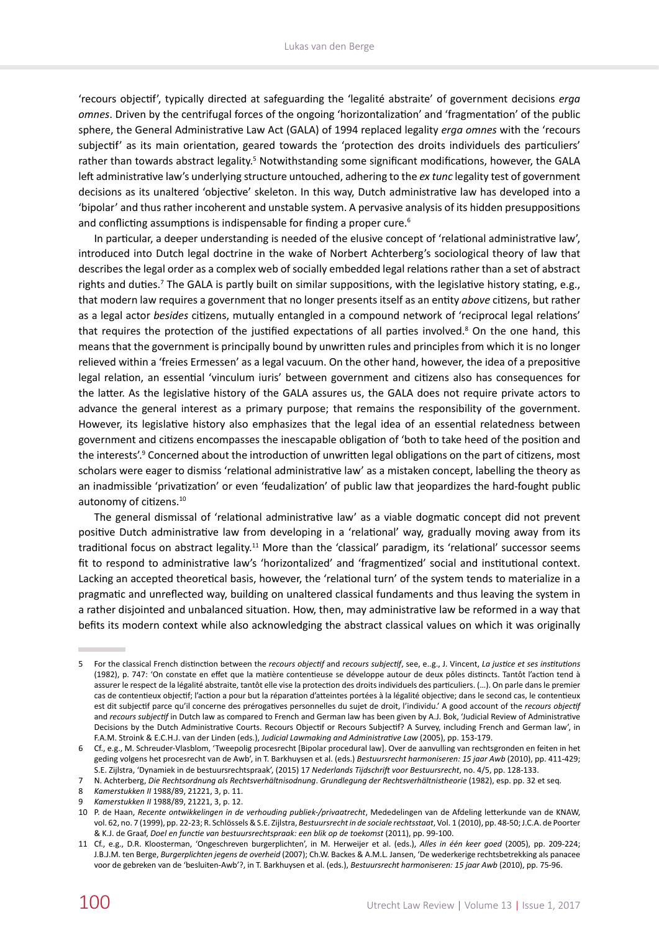'recours objectif', typically directed at safeguarding the 'legalité abstraite' of government decisions *erga omnes*. Driven by the centrifugal forces of the ongoing 'horizontalization' and 'fragmentation' of the public sphere, the General Administrative Law Act (GALA) of 1994 replaced legality *erga omnes* with the 'recours subjectif' as its main orientation, geared towards the 'protection des droits individuels des particuliers' rather than towards abstract legality.<sup>5</sup> Notwithstanding some significant modifications, however, the GALA left administrative law's underlying structure untouched, adhering to the *ex tunc* legality test of government decisions as its unaltered 'objective' skeleton. In this way, Dutch administrative law has developed into a 'bipolar' and thus rather incoherent and unstable system. A pervasive analysis of its hidden presuppositions and conflicting assumptions is indispensable for finding a proper cure.<sup>6</sup>

In particular, a deeper understanding is needed of the elusive concept of 'relational administrative law', introduced into Dutch legal doctrine in the wake of Norbert Achterberg's sociological theory of law that describes the legal order as a complex web of socially embedded legal relations rather than a set of abstract rights and duties.<sup>7</sup> The GALA is partly built on similar suppositions, with the legislative history stating, e.g., that modern law requires a government that no longer presents itself as an entity *above* citizens, but rather as a legal actor *besides* citizens, mutually entangled in a compound network of 'reciprocal legal relations' that requires the protection of the justified expectations of all parties involved.<sup>8</sup> On the one hand, this means that the government is principally bound by unwritten rules and principles from which it is no longer relieved within a 'freies Ermessen' as a legal vacuum. On the other hand, however, the idea of a prepositive legal relation, an essential 'vinculum iuris' between government and citizens also has consequences for the latter. As the legislative history of the GALA assures us, the GALA does not require private actors to advance the general interest as a primary purpose; that remains the responsibility of the government. However, its legislative history also emphasizes that the legal idea of an essential relatedness between government and citizens encompasses the inescapable obligation of 'both to take heed of the position and the interests'.<sup>9</sup> Concerned about the introduction of unwritten legal obligations on the part of citizens, most scholars were eager to dismiss 'relational administrative law' as a mistaken concept, labelling the theory as an inadmissible 'privatization' or even 'feudalization' of public law that jeopardizes the hard-fought public autonomy of citizens.<sup>10</sup>

The general dismissal of 'relational administrative law' as a viable dogmatic concept did not prevent positive Dutch administrative law from developing in a 'relational' way, gradually moving away from its traditional focus on abstract legality.<sup>11</sup> More than the 'classical' paradigm, its 'relational' successor seems fit to respond to administrative law's 'horizontalized' and 'fragmentized' social and institutional context. Lacking an accepted theoretical basis, however, the 'relational turn' of the system tends to materialize in a pragmatic and unreflected way, building on unaltered classical fundaments and thus leaving the system in a rather disjointed and unbalanced situation. How, then, may administrative law be reformed in a way that befits its modern context while also acknowledging the abstract classical values on which it was originally

<sup>5</sup> For the classical French distinction between the *recours objectif* and *recours subjectif*, see, e..g., J. Vincent, *La justice et ses institutions* (1982), p. 747: 'On constate en effet que la matière contentieuse se développe autour de deux pôles distincts. Tantôt l'action tend à assurer le respect de la légalité abstraite, tantôt elle vise la protection des droits individuels des particuliers. (…). On parle dans le premier cas de contentieux objectif; l'action a pour but la réparation d'atteintes portées à la légalité objective; dans le second cas, le contentieux est dit subjectif parce qu'il concerne des prérogatives personnelles du sujet de droit, l'individu.' A good account of the *recours objectif* and *recours subjectif* in Dutch law as compared to French and German law has been given by A.J. Bok, 'Judicial Review of Administrative Decisions by the Dutch Administrative Courts. Recours Objectif or Recours Subjectif? A Survey, including French and German law', in F.A.M. Stroink & E.C.H.J. van der Linden (eds.), *Judicial Lawmaking and Administrative Law* (2005), pp. 153-179.

<sup>6</sup> Cf., e.g., M. Schreuder-Vlasblom, 'Tweepolig procesrecht [Bipolar procedural law]. Over de aanvulling van rechtsgronden en feiten in het geding volgens het procesrecht van de Awb', in T. Barkhuysen et al. (eds.) *Bestuursrecht harmoniseren: 15 jaar Awb* (2010), pp. 411-429; S.E. Zijlstra, 'Dynamiek in de bestuursrechtspraak', (2015) 17 *Nederlands Tijdschrift voor Bestuursrecht*, no. 4/5, pp. 128-133.

<sup>7</sup> N. Achterberg, *Die Rechtsordnung als Rechtsverhältnisodnung*. *Grundlegung der Rechtsverhältnistheorie* (1982), esp. pp. 32 et seq.

<sup>8</sup> *Kamerstukken II* 1988/89, 21221, 3, p. 11.

<sup>9</sup> *Kamerstukken II* 1988/89, 21221, 3, p. 12.

<sup>10</sup> P. de Haan, *Recente ontwikkelingen in de verhouding publiek-/privaatrecht*, Mededelingen van de Afdeling letterkunde van de KNAW, vol. 62, no. 7 (1999), pp. 22-23; R. Schlössels & S.E. Zijlstra, *Bestuursrecht in de sociale rechtsstaat*, Vol. 1 (2010), pp. 48-50; J.C.A. de Poorter & K.J. de Graaf, *Doel en functie van bestuursrechtspraak: een blik op de toekomst* (2011), pp. 99-100.

<sup>11</sup> Cf., e.g., D.R. Kloosterman, 'Ongeschreven burgerplichten', in M. Herweijer et al. (eds.), *Alles in één keer goed* (2005), pp. 209-224; J.B.J.M. ten Berge, *Burgerplichten jegens de overheid* (2007); Ch.W. Backes & A.M.L. Jansen, 'De wederkerige rechtsbetrekking als panacee voor de gebreken van de 'besluiten-Awb'?, in T. Barkhuysen et al. (eds.), *Bestuursrecht harmoniseren: 15 jaar Awb* (2010), pp. 75-96.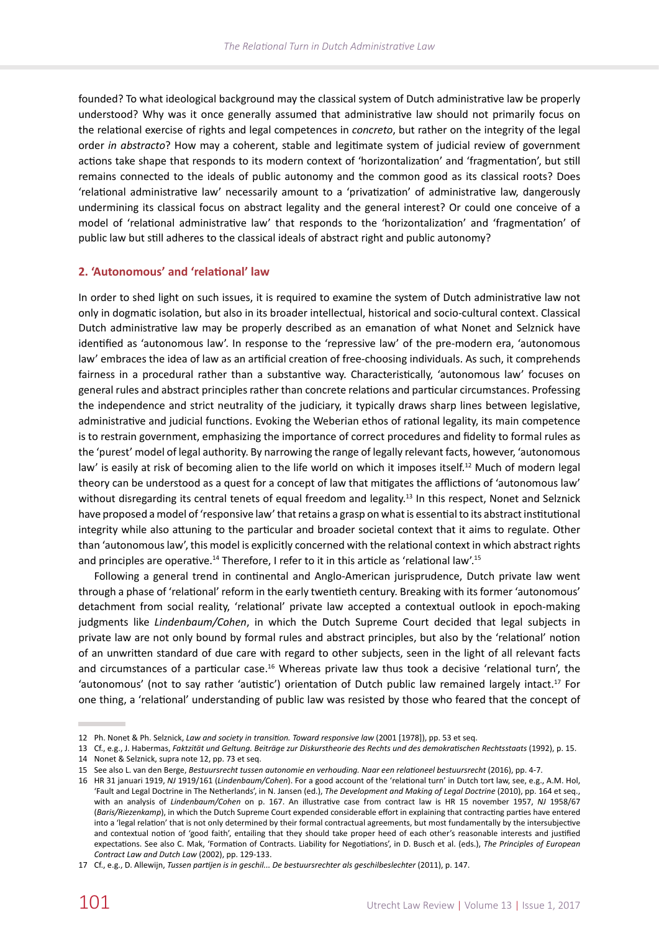founded? To what ideological background may the classical system of Dutch administrative law be properly understood? Why was it once generally assumed that administrative law should not primarily focus on the relational exercise of rights and legal competences in *concreto*, but rather on the integrity of the legal order *in abstracto*? How may a coherent, stable and legitimate system of judicial review of government actions take shape that responds to its modern context of 'horizontalization' and 'fragmentation', but still remains connected to the ideals of public autonomy and the common good as its classical roots? Does 'relational administrative law' necessarily amount to a 'privatization' of administrative law, dangerously undermining its classical focus on abstract legality and the general interest? Or could one conceive of a model of 'relational administrative law' that responds to the 'horizontalization' and 'fragmentation' of public law but still adheres to the classical ideals of abstract right and public autonomy?

# **2. 'Autonomous' and 'relational' law**

In order to shed light on such issues, it is required to examine the system of Dutch administrative law not only in dogmatic isolation, but also in its broader intellectual, historical and socio-cultural context. Classical Dutch administrative law may be properly described as an emanation of what Nonet and Selznick have identified as 'autonomous law'. In response to the 'repressive law' of the pre-modern era, 'autonomous law' embraces the idea of law as an artificial creation of free-choosing individuals. As such, it comprehends fairness in a procedural rather than a substantive way. Characteristically, 'autonomous law' focuses on general rules and abstract principles rather than concrete relations and particular circumstances. Professing the independence and strict neutrality of the judiciary, it typically draws sharp lines between legislative, administrative and judicial functions. Evoking the Weberian ethos of rational legality, its main competence is to restrain government, emphasizing the importance of correct procedures and fidelity to formal rules as the 'purest' model of legal authority. By narrowing the range of legally relevant facts, however, 'autonomous law' is easily at risk of becoming alien to the life world on which it imposes itself.<sup>12</sup> Much of modern legal theory can be understood as a quest for a concept of law that mitigates the afflictions of 'autonomous law' without disregarding its central tenets of equal freedom and legality.<sup>13</sup> In this respect, Nonet and Selznick have proposed a model of 'responsive law' that retains a grasp on what is essential to its abstract institutional integrity while also attuning to the particular and broader societal context that it aims to regulate. Other than 'autonomous law', this model is explicitly concerned with the relational context in which abstract rights and principles are operative.<sup>14</sup> Therefore, I refer to it in this article as 'relational law'.<sup>15</sup>

Following a general trend in continental and Anglo-American jurisprudence, Dutch private law went through a phase of 'relational' reform in the early twentieth century. Breaking with its former 'autonomous' detachment from social reality, 'relational' private law accepted a contextual outlook in epoch-making judgments like *Lindenbaum/Cohen*, in which the Dutch Supreme Court decided that legal subjects in private law are not only bound by formal rules and abstract principles, but also by the 'relational' notion of an unwritten standard of due care with regard to other subjects, seen in the light of all relevant facts and circumstances of a particular case.<sup>16</sup> Whereas private law thus took a decisive 'relational turn', the 'autonomous' (not to say rather 'autistic') orientation of Dutch public law remained largely intact.17 For one thing, a 'relational' understanding of public law was resisted by those who feared that the concept of

<sup>12</sup> Ph. Nonet & Ph. Selznick, *Law and society in transition. Toward responsive law* (2001 [1978]), pp. 53 et seq.

<sup>13</sup> Cf., e.g., J. Habermas, *Faktzität und Geltung. Beiträge zur Diskurstheorie des Rechts und des demokratischen Rechtsstaats* (1992), p. 15. 14 Nonet & Selznick, supra note 12, pp. 73 et seq.

<sup>15</sup> See also L. van den Berge, *Bestuursrecht tussen autonomie en verhouding. Naar een relationeel bestuursrecht* (2016), pp. 4-7.

<sup>16</sup> HR 31 januari 1919, *NJ* 1919/161 (*Lindenbaum/Cohen*). For a good account of the 'relational turn' in Dutch tort law, see, e.g., A.M. Hol, 'Fault and Legal Doctrine in The Netherlands', in N. Jansen (ed.), *The Development and Making of Legal Doctrine* (2010), pp. 164 et seq., with an analysis of *Lindenbaum/Cohen* on p. 167. An illustrative case from contract law is HR 15 november 1957, *NJ* 1958/67 (*Baris/Riezenkamp*), in which the Dutch Supreme Court expended considerable effort in explaining that contracting parties have entered into a 'legal relation' that is not only determined by their formal contractual agreements, but most fundamentally by the intersubjective and contextual notion of 'good faith', entailing that they should take proper heed of each other's reasonable interests and justified expectations. See also C. Mak, 'Formation of Contracts. Liability for Negotiations', in D. Busch et al. (eds.), *The Principles of European Contract Law and Dutch Law* (2002), pp. 129-133.

<sup>17</sup> Cf., e.g., D. Allewijn, *Tussen partijen is in geschil... De bestuursrechter als geschilbeslechter* (2011), p. 147.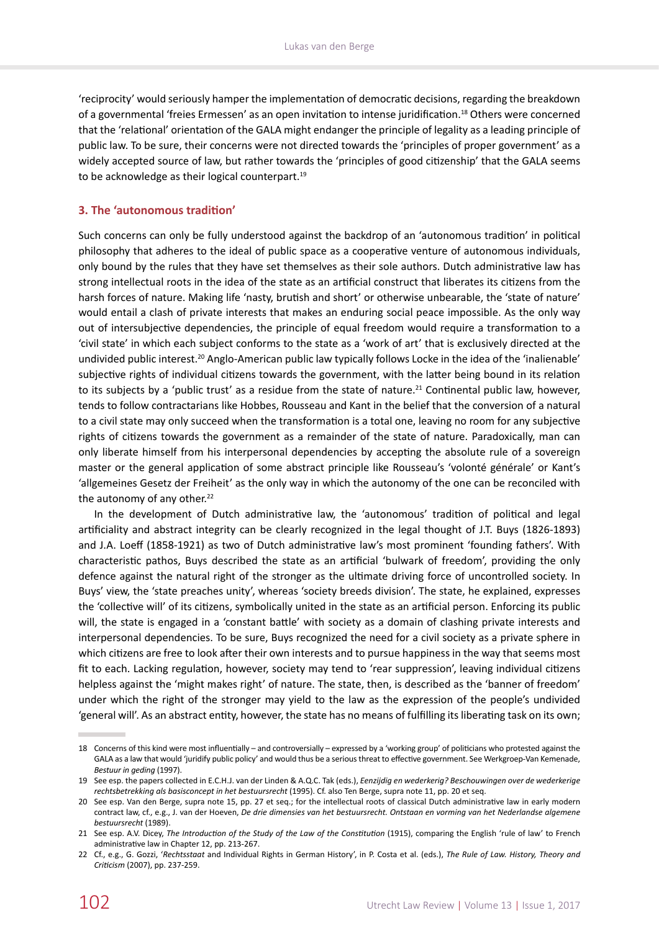'reciprocity' would seriously hamper the implementation of democratic decisions, regarding the breakdown of a governmental 'freies Ermessen' as an open invitation to intense juridification.18 Others were concerned that the 'relational' orientation of the GALA might endanger the principle of legality as a leading principle of public law. To be sure, their concerns were not directed towards the 'principles of proper government' as a widely accepted source of law, but rather towards the 'principles of good citizenship' that the GALA seems to be acknowledge as their logical counterpart.<sup>19</sup>

# **3. The 'autonomous tradition'**

Such concerns can only be fully understood against the backdrop of an 'autonomous tradition' in political philosophy that adheres to the ideal of public space as a cooperative venture of autonomous individuals, only bound by the rules that they have set themselves as their sole authors. Dutch administrative law has strong intellectual roots in the idea of the state as an artificial construct that liberates its citizens from the harsh forces of nature. Making life 'nasty, brutish and short' or otherwise unbearable, the 'state of nature' would entail a clash of private interests that makes an enduring social peace impossible. As the only way out of intersubjective dependencies, the principle of equal freedom would require a transformation to a 'civil state' in which each subject conforms to the state as a 'work of art' that is exclusively directed at the undivided public interest.<sup>20</sup> Anglo-American public law typically follows Locke in the idea of the 'inalienable' subjective rights of individual citizens towards the government, with the latter being bound in its relation to its subjects by a 'public trust' as a residue from the state of nature.<sup>21</sup> Continental public law, however, tends to follow contractarians like Hobbes, Rousseau and Kant in the belief that the conversion of a natural to a civil state may only succeed when the transformation is a total one, leaving no room for any subjective rights of citizens towards the government as a remainder of the state of nature. Paradoxically, man can only liberate himself from his interpersonal dependencies by accepting the absolute rule of a sovereign master or the general application of some abstract principle like Rousseau's 'volonté générale' or Kant's 'allgemeines Gesetz der Freiheit' as the only way in which the autonomy of the one can be reconciled with the autonomy of any other. $22$ 

In the development of Dutch administrative law, the 'autonomous' tradition of political and legal artificiality and abstract integrity can be clearly recognized in the legal thought of J.T. Buys (1826-1893) and J.A. Loeff (1858-1921) as two of Dutch administrative law's most prominent 'founding fathers'. With characteristic pathos, Buys described the state as an artificial 'bulwark of freedom', providing the only defence against the natural right of the stronger as the ultimate driving force of uncontrolled society. In Buys' view, the 'state preaches unity', whereas 'society breeds division'. The state, he explained, expresses the 'collective will' of its citizens, symbolically united in the state as an artificial person. Enforcing its public will, the state is engaged in a 'constant battle' with society as a domain of clashing private interests and interpersonal dependencies. To be sure, Buys recognized the need for a civil society as a private sphere in which citizens are free to look after their own interests and to pursue happiness in the way that seems most fit to each. Lacking regulation, however, society may tend to 'rear suppression', leaving individual citizens helpless against the 'might makes right' of nature. The state, then, is described as the 'banner of freedom' under which the right of the stronger may yield to the law as the expression of the people's undivided 'general will'. As an abstract entity, however, the state has no means of fulfilling its liberating task on its own;

<sup>18</sup> Concerns of this kind were most influentially – and controversially – expressed by a 'working group' of politicians who protested against the GALA as a law that would 'juridify public policy' and would thus be a serious threat to effective government. See Werkgroep-Van Kemenade, *Bestuur in geding* (1997).

<sup>19</sup> See esp. the papers collected in E.C.H.J. van der Linden & A.Q.C. Tak (eds.), *Eenzijdig en wederkerig? Beschouwingen over de wederkerige rechtsbetrekking als basisconcept in het bestuursrecht* (1995). Cf. also Ten Berge, supra note 11, pp. 20 et seq.

<sup>20</sup> See esp. Van den Berge, supra note 15, pp. 27 et seq.; for the intellectual roots of classical Dutch administrative law in early modern contract law, cf., e.g., J. van der Hoeven, *De drie dimensies van het bestuursrecht. Ontstaan en vorming van het Nederlandse algemene bestuursrecht* (1989).

<sup>21</sup> See esp. A.V. Dicey, *The Introduction of the Study of the Law of the Constitution* (1915), comparing the English 'rule of law' to French administrative law in Chapter 12, pp. 213-267.

<sup>22</sup> Cf., e.g., G. Gozzi, '*Rechtsstaat* and Individual Rights in German History', in P. Costa et al. (eds.), *The Rule of Law. History, Theory and Criticism* (2007), pp. 237-259.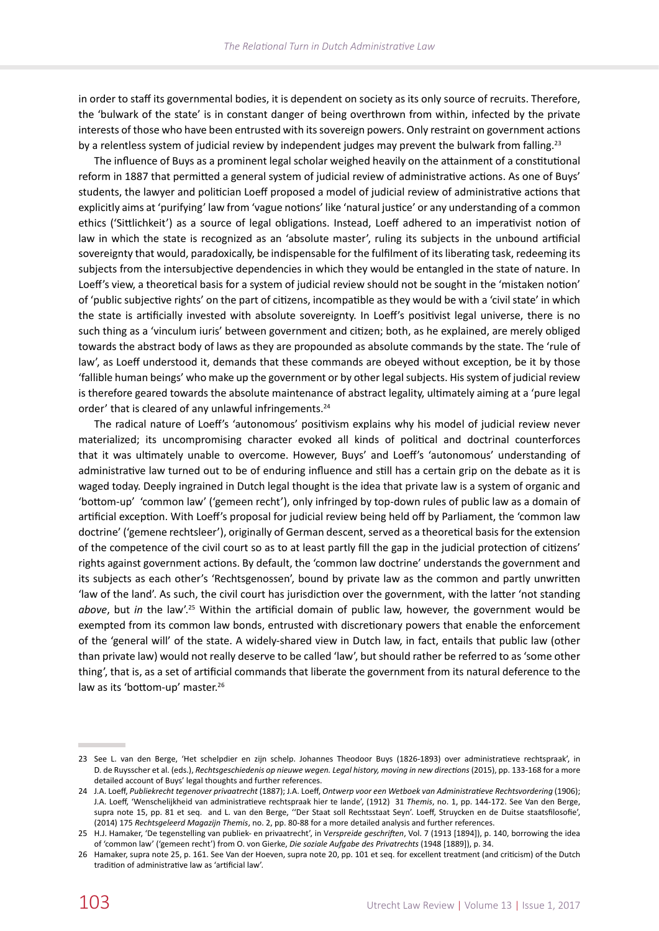in order to staff its governmental bodies, it is dependent on society as its only source of recruits. Therefore, the 'bulwark of the state' is in constant danger of being overthrown from within, infected by the private interests of those who have been entrusted with its sovereign powers. Only restraint on government actions by a relentless system of judicial review by independent judges may prevent the bulwark from falling.<sup>23</sup>

The influence of Buys as a prominent legal scholar weighed heavily on the attainment of a constitutional reform in 1887 that permitted a general system of judicial review of administrative actions. As one of Buys' students, the lawyer and politician Loeff proposed a model of judicial review of administrative actions that explicitly aims at 'purifying' law from 'vague notions' like 'natural justice' or any understanding of a common ethics ('Sittlichkeit') as a source of legal obligations. Instead, Loeff adhered to an imperativist notion of law in which the state is recognized as an 'absolute master', ruling its subjects in the unbound artificial sovereignty that would, paradoxically, be indispensable for the fulfilment of its liberating task, redeeming its subjects from the intersubjective dependencies in which they would be entangled in the state of nature. In Loeff's view, a theoretical basis for a system of judicial review should not be sought in the 'mistaken notion' of 'public subjective rights' on the part of citizens, incompatible as they would be with a 'civil state' in which the state is artificially invested with absolute sovereignty. In Loeff's positivist legal universe, there is no such thing as a 'vinculum iuris' between government and citizen; both, as he explained, are merely obliged towards the abstract body of laws as they are propounded as absolute commands by the state. The 'rule of law', as Loeff understood it, demands that these commands are obeyed without exception, be it by those 'fallible human beings' who make up the government or by other legal subjects. His system of judicial review is therefore geared towards the absolute maintenance of abstract legality, ultimately aiming at a 'pure legal order' that is cleared of any unlawful infringements.<sup>24</sup>

The radical nature of Loeff's 'autonomous' positivism explains why his model of judicial review never materialized; its uncompromising character evoked all kinds of political and doctrinal counterforces that it was ultimately unable to overcome. However, Buys' and Loeff's 'autonomous' understanding of administrative law turned out to be of enduring influence and still has a certain grip on the debate as it is waged today. Deeply ingrained in Dutch legal thought is the idea that private law is a system of organic and 'bottom-up' 'common law' ('gemeen recht'), only infringed by top-down rules of public law as a domain of artificial exception. With Loeff's proposal for judicial review being held off by Parliament, the 'common law doctrine' ('gemene rechtsleer'), originally of German descent, served as a theoretical basis for the extension of the competence of the civil court so as to at least partly fill the gap in the judicial protection of citizens' rights against government actions. By default, the 'common law doctrine' understands the government and its subjects as each other's 'Rechtsgenossen', bound by private law as the common and partly unwritten 'law of the land'. As such, the civil court has jurisdiction over the government, with the latter 'not standing *above*, but *in* the law'.25 Within the artificial domain of public law, however, the government would be exempted from its common law bonds, entrusted with discretionary powers that enable the enforcement of the 'general will' of the state. A widely-shared view in Dutch law, in fact, entails that public law (other than private law) would not really deserve to be called 'law', but should rather be referred to as 'some other thing', that is, as a set of artificial commands that liberate the government from its natural deference to the law as its 'bottom-up' master.<sup>26</sup>

<sup>23</sup> See L. van den Berge, 'Het schelpdier en zijn schelp. Johannes Theodoor Buys (1826-1893) over administratieve rechtspraak', in D. de Ruysscher et al. (eds.), *Rechtsgeschiedenis op nieuwe wegen. Legal history, moving in new directions* (2015), pp. 133-168 for a more detailed account of Buys' legal thoughts and further references.

<sup>24</sup> J.A. Loeff, *Publiekrecht tegenover privaatrecht* (1887); J.A. Loeff, *Ontwerp voor een Wetboek van Administratieve Rechtsvordering* (1906); J.A. Loeff, 'Wenschelijkheid van administratieve rechtspraak hier te lande', (1912) 31 *Themis*, no. 1, pp. 144-172. See Van den Berge, supra note 15, pp. 81 et seq. and L. van den Berge, ''Der Staat soll Rechtsstaat Seyn'. Loeff, Struycken en de Duitse staatsfilosofie', (2014) 175 *Rechtsgeleerd Magazijn Themis*, no. 2, pp. 80-88 for a more detailed analysis and further references.

<sup>25</sup> H.J. Hamaker, 'De tegenstelling van publiek- en privaatrecht', in V*erspreide geschriften*, Vol. 7 (1913 [1894]), p. 140, borrowing the idea of 'common law' ('gemeen recht') from O. von Gierke, *Die soziale Aufgabe des Privatrechts* (1948 [1889]), p. 34.

<sup>26</sup> Hamaker, supra note 25, p. 161. See Van der Hoeven, supra note 20, pp. 101 et seq. for excellent treatment (and criticism) of the Dutch tradition of administrative law as 'artificial law'.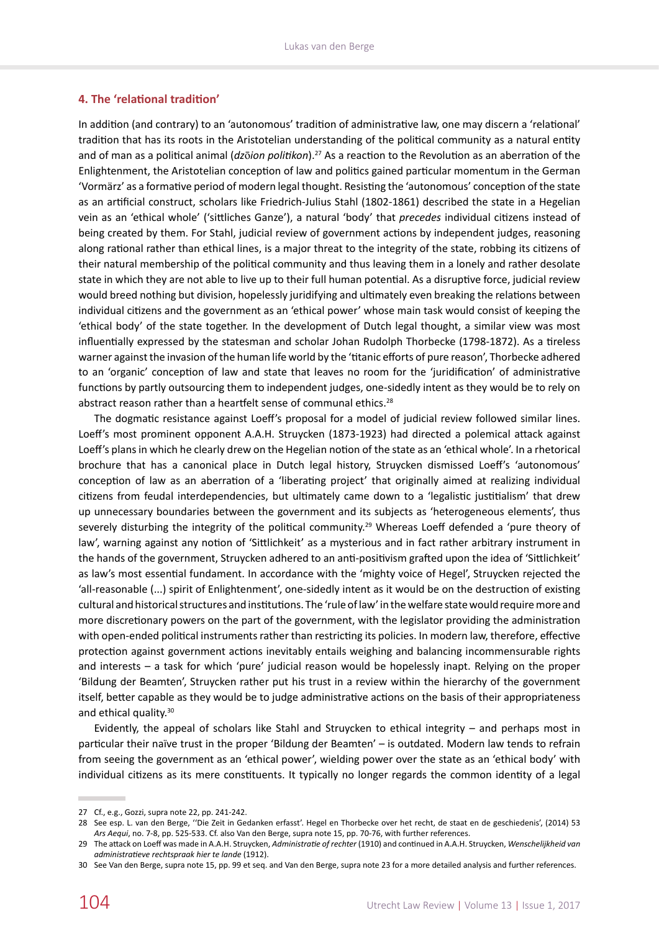# **4. The 'relational tradition'**

In addition (and contrary) to an 'autonomous' tradition of administrative law, one may discern a 'relational' tradition that has its roots in the Aristotelian understanding of the political community as a natural entity and of man as a political animal (*dz*ō*ion politikon*).27 As a reaction to the Revolution as an aberration of the Enlightenment, the Aristotelian conception of law and politics gained particular momentum in the German 'Vormärz' as a formative period of modern legal thought. Resisting the 'autonomous' conception of the state as an artificial construct, scholars like Friedrich-Julius Stahl (1802-1861) described the state in a Hegelian vein as an 'ethical whole' ('sittliches Ganze'), a natural 'body' that *precedes* individual citizens instead of being created by them. For Stahl, judicial review of government actions by independent judges, reasoning along rational rather than ethical lines, is a major threat to the integrity of the state, robbing its citizens of their natural membership of the political community and thus leaving them in a lonely and rather desolate state in which they are not able to live up to their full human potential. As a disruptive force, judicial review would breed nothing but division, hopelessly juridifying and ultimately even breaking the relations between individual citizens and the government as an 'ethical power' whose main task would consist of keeping the 'ethical body' of the state together. In the development of Dutch legal thought, a similar view was most influentially expressed by the statesman and scholar Johan Rudolph Thorbecke (1798-1872). As a tireless warner against the invasion of the human life world by the 'titanic efforts of pure reason', Thorbecke adhered to an 'organic' conception of law and state that leaves no room for the 'juridification' of administrative functions by partly outsourcing them to independent judges, one-sidedly intent as they would be to rely on abstract reason rather than a heartfelt sense of communal ethics.<sup>28</sup>

The dogmatic resistance against Loeff's proposal for a model of judicial review followed similar lines. Loeff's most prominent opponent A.A.H. Struycken (1873-1923) had directed a polemical attack against Loeff's plans in which he clearly drew on the Hegelian notion of the state as an 'ethical whole'. In a rhetorical brochure that has a canonical place in Dutch legal history, Struycken dismissed Loeff's 'autonomous' conception of law as an aberration of a 'liberating project' that originally aimed at realizing individual citizens from feudal interdependencies, but ultimately came down to a 'legalistic justitialism' that drew up unnecessary boundaries between the government and its subjects as 'heterogeneous elements', thus severely disturbing the integrity of the political community.<sup>29</sup> Whereas Loeff defended a 'pure theory of law', warning against any notion of 'Sittlichkeit' as a mysterious and in fact rather arbitrary instrument in the hands of the government, Struycken adhered to an anti-positivism grafted upon the idea of 'Sittlichkeit' as law's most essential fundament. In accordance with the 'mighty voice of Hegel', Struycken rejected the 'all-reasonable (...) spirit of Enlightenment', one-sidedly intent as it would be on the destruction of existing cultural and historical structures and institutions. The 'rule of law' in the welfare state would require more and more discretionary powers on the part of the government, with the legislator providing the administration with open-ended political instruments rather than restricting its policies. In modern law, therefore, effective protection against government actions inevitably entails weighing and balancing incommensurable rights and interests – a task for which 'pure' judicial reason would be hopelessly inapt. Relying on the proper 'Bildung der Beamten', Struycken rather put his trust in a review within the hierarchy of the government itself, better capable as they would be to judge administrative actions on the basis of their appropriateness and ethical quality.<sup>30</sup>

Evidently, the appeal of scholars like Stahl and Struycken to ethical integrity – and perhaps most in particular their naïve trust in the proper 'Bildung der Beamten' – is outdated. Modern law tends to refrain from seeing the government as an 'ethical power', wielding power over the state as an 'ethical body' with individual citizens as its mere constituents. It typically no longer regards the common identity of a legal

<sup>27</sup> Cf., e.g., Gozzi, supra note 22, pp. 241-242.

<sup>28</sup> See esp. L. van den Berge, ''Die Zeit in Gedanken erfasst'. Hegel en Thorbecke over het recht, de staat en de geschiedenis', (2014) 53 *Ars Aequi*, no. 7-8, pp. 525-533. Cf. also Van den Berge, supra note 15, pp. 70-76, with further references.

<sup>29</sup> The attack on Loeff was made in A.A.H. Struycken, *Administratie of rechter* (1910) and continued in A.A.H. Struycken, *Wenschelijkheid van administratieve rechtspraak hier te lande* (1912).

<sup>30</sup> See Van den Berge, supra note 15, pp. 99 et seq. and Van den Berge, supra note 23 for a more detailed analysis and further references.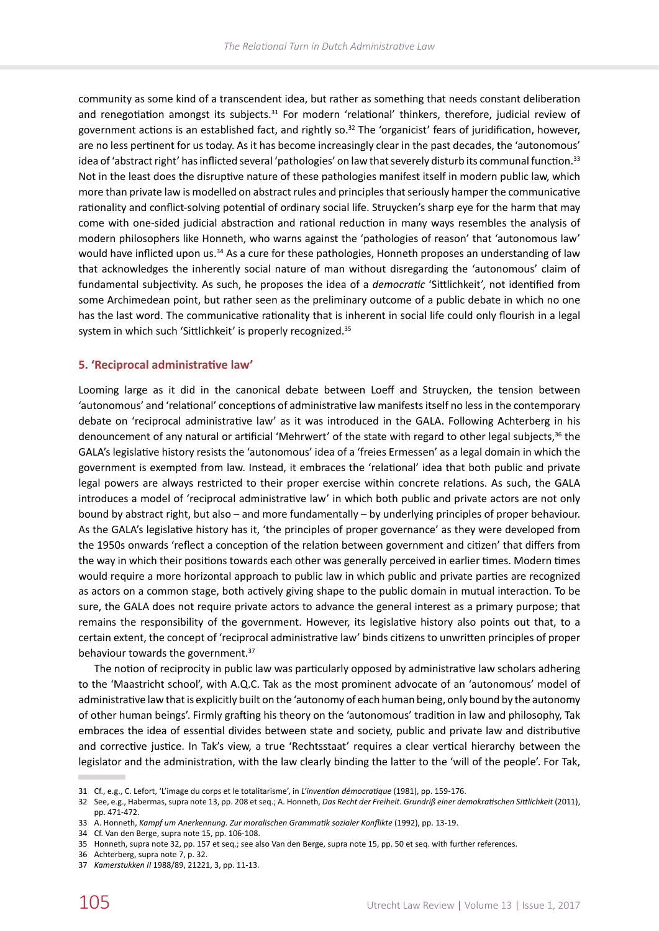community as some kind of a transcendent idea, but rather as something that needs constant deliberation and renegotiation amongst its subjects.<sup>31</sup> For modern 'relational' thinkers, therefore, judicial review of government actions is an established fact, and rightly so.<sup>32</sup> The 'organicist' fears of juridification, however, are no less pertinent for us today. As it has become increasingly clear in the past decades, the 'autonomous' idea of 'abstract right' has inflicted several 'pathologies' on law that severely disturb its communal function.<sup>33</sup> Not in the least does the disruptive nature of these pathologies manifest itself in modern public law, which more than private law is modelled on abstract rules and principles that seriously hamper the communicative rationality and conflict-solving potential of ordinary social life. Struycken's sharp eye for the harm that may come with one-sided judicial abstraction and rational reduction in many ways resembles the analysis of modern philosophers like Honneth, who warns against the 'pathologies of reason' that 'autonomous law' would have inflicted upon us.<sup>34</sup> As a cure for these pathologies, Honneth proposes an understanding of law that acknowledges the inherently social nature of man without disregarding the 'autonomous' claim of fundamental subjectivity. As such, he proposes the idea of a *democratic* 'Sittlichkeit', not identified from some Archimedean point, but rather seen as the preliminary outcome of a public debate in which no one has the last word. The communicative rationality that is inherent in social life could only flourish in a legal system in which such 'Sittlichkeit' is properly recognized.<sup>35</sup>

#### **5. 'Reciprocal administrative law'**

Looming large as it did in the canonical debate between Loeff and Struycken, the tension between 'autonomous' and 'relational' conceptions of administrative law manifests itself no less in the contemporary debate on 'reciprocal administrative law' as it was introduced in the GALA. Following Achterberg in his denouncement of any natural or artificial 'Mehrwert' of the state with regard to other legal subjects,<sup>36</sup> the GALA's legislative history resists the 'autonomous' idea of a 'freies Ermessen' as a legal domain in which the government is exempted from law. Instead, it embraces the 'relational' idea that both public and private legal powers are always restricted to their proper exercise within concrete relations. As such, the GALA introduces a model of 'reciprocal administrative law' in which both public and private actors are not only bound by abstract right, but also – and more fundamentally – by underlying principles of proper behaviour. As the GALA's legislative history has it, 'the principles of proper governance' as they were developed from the 1950s onwards 'reflect a conception of the relation between government and citizen' that differs from the way in which their positions towards each other was generally perceived in earlier times. Modern times would require a more horizontal approach to public law in which public and private parties are recognized as actors on a common stage, both actively giving shape to the public domain in mutual interaction. To be sure, the GALA does not require private actors to advance the general interest as a primary purpose; that remains the responsibility of the government. However, its legislative history also points out that, to a certain extent, the concept of 'reciprocal administrative law' binds citizens to unwritten principles of proper behaviour towards the government.<sup>37</sup>

The notion of reciprocity in public law was particularly opposed by administrative law scholars adhering to the 'Maastricht school', with A.Q.C. Tak as the most prominent advocate of an 'autonomous' model of administrative law that is explicitly built on the 'autonomy of each human being, only bound by the autonomy of other human beings'. Firmly grafting his theory on the 'autonomous' tradition in law and philosophy, Tak embraces the idea of essential divides between state and society, public and private law and distributive and corrective justice. In Tak's view, a true 'Rechtsstaat' requires a clear vertical hierarchy between the legislator and the administration, with the law clearly binding the latter to the 'will of the people'. For Tak,

34 Cf. Van den Berge, supra note 15, pp. 106-108.

<sup>31</sup> Cf., e.g., C. Lefort, 'L'image du corps et le totalitarisme', in *L'invention démocratique* (1981), pp. 159-176.

<sup>32</sup> See, e.g., Habermas, supra note 13, pp. 208 et seq.; A. Honneth, *Das Recht der Freiheit. Grundriß einer demokratischen Sittlichkeit* (2011), pp. 471-472.

<sup>33</sup> A. Honneth, *Kampf um Anerkennung. Zur moralischen Grammatik sozialer Konflikte* (1992), pp. 13-19.

<sup>35</sup> Honneth, supra note 32, pp. 157 et seq.; see also Van den Berge, supra note 15, pp. 50 et seq. with further references.

<sup>36</sup> Achterberg, supra note 7, p. 32.

<sup>37</sup> *Kamerstukken II* 1988/89, 21221, 3, pp. 11-13.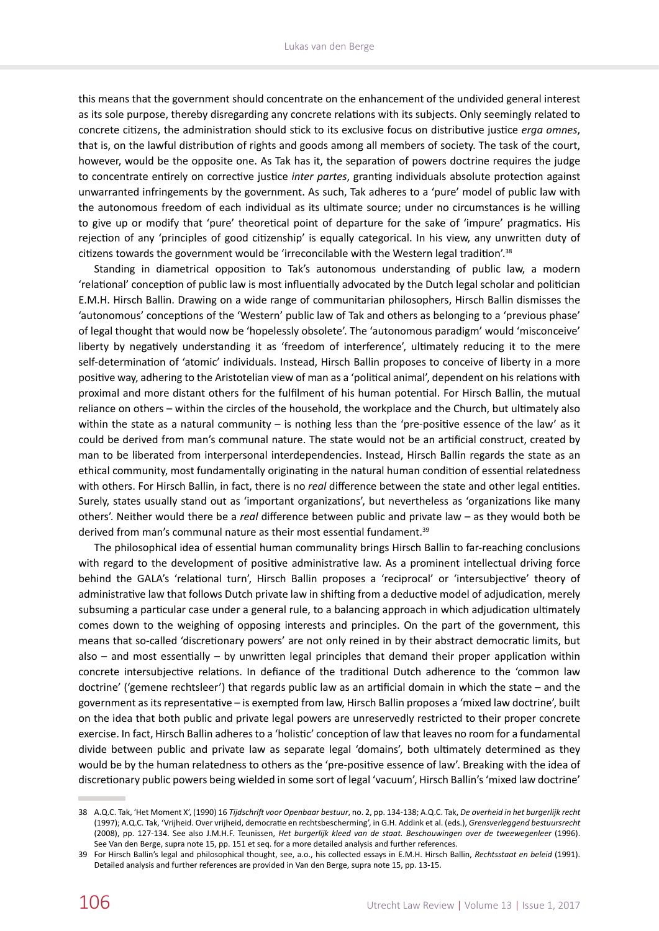this means that the government should concentrate on the enhancement of the undivided general interest as its sole purpose, thereby disregarding any concrete relations with its subjects. Only seemingly related to concrete citizens, the administration should stick to its exclusive focus on distributive justice *erga omnes*, that is, on the lawful distribution of rights and goods among all members of society. The task of the court, however, would be the opposite one. As Tak has it, the separation of powers doctrine requires the judge to concentrate entirely on corrective justice *inter partes*, granting individuals absolute protection against unwarranted infringements by the government. As such, Tak adheres to a 'pure' model of public law with the autonomous freedom of each individual as its ultimate source; under no circumstances is he willing to give up or modify that 'pure' theoretical point of departure for the sake of 'impure' pragmatics. His rejection of any 'principles of good citizenship' is equally categorical. In his view, any unwritten duty of citizens towards the government would be 'irreconcilable with the Western legal tradition'.38

Standing in diametrical opposition to Tak's autonomous understanding of public law, a modern 'relational' conception of public law is most influentially advocated by the Dutch legal scholar and politician E.M.H. Hirsch Ballin. Drawing on a wide range of communitarian philosophers, Hirsch Ballin dismisses the 'autonomous' conceptions of the 'Western' public law of Tak and others as belonging to a 'previous phase' of legal thought that would now be 'hopelessly obsolete'. The 'autonomous paradigm' would 'misconceive' liberty by negatively understanding it as 'freedom of interference', ultimately reducing it to the mere self-determination of 'atomic' individuals. Instead, Hirsch Ballin proposes to conceive of liberty in a more positive way, adhering to the Aristotelian view of man as a 'political animal', dependent on his relations with proximal and more distant others for the fulfilment of his human potential. For Hirsch Ballin, the mutual reliance on others – within the circles of the household, the workplace and the Church, but ultimately also within the state as a natural community – is nothing less than the 'pre-positive essence of the law' as it could be derived from man's communal nature. The state would not be an artificial construct, created by man to be liberated from interpersonal interdependencies. Instead, Hirsch Ballin regards the state as an ethical community, most fundamentally originating in the natural human condition of essential relatedness with others. For Hirsch Ballin, in fact, there is no *real* difference between the state and other legal entities. Surely, states usually stand out as 'important organizations', but nevertheless as 'organizations like many others'. Neither would there be a *real* difference between public and private law – as they would both be derived from man's communal nature as their most essential fundament.<sup>39</sup>

The philosophical idea of essential human communality brings Hirsch Ballin to far-reaching conclusions with regard to the development of positive administrative law. As a prominent intellectual driving force behind the GALA's 'relational turn', Hirsch Ballin proposes a 'reciprocal' or 'intersubjective' theory of administrative law that follows Dutch private law in shifting from a deductive model of adjudication, merely subsuming a particular case under a general rule, to a balancing approach in which adjudication ultimately comes down to the weighing of opposing interests and principles. On the part of the government, this means that so-called 'discretionary powers' are not only reined in by their abstract democratic limits, but also – and most essentially – by unwritten legal principles that demand their proper application within concrete intersubjective relations. In defiance of the traditional Dutch adherence to the 'common law doctrine' ('gemene rechtsleer') that regards public law as an artificial domain in which the state – and the government as its representative – is exempted from law, Hirsch Ballin proposes a 'mixed law doctrine', built on the idea that both public and private legal powers are unreservedly restricted to their proper concrete exercise. In fact, Hirsch Ballin adheres to a 'holistic' conception of law that leaves no room for a fundamental divide between public and private law as separate legal 'domains', both ultimately determined as they would be by the human relatedness to others as the 'pre-positive essence of law'. Breaking with the idea of discretionary public powers being wielded in some sort of legal 'vacuum', Hirsch Ballin's 'mixed law doctrine'

<sup>38</sup> A.Q.C. Tak, 'Het Moment X', (1990) 16 *Tijdschrift voor Openbaar bestuur*, no. 2, pp. 134-138; A.Q.C. Tak, *De overheid in het burgerlijk recht* (1997); A.Q.C. Tak, 'Vrijheid. Over vrijheid, democratie en rechtsbescherming', in G.H. Addink et al. (eds.), *Grensverleggend bestuursrecht* (2008), pp. 127-134. See also J.M.H.F. Teunissen, *Het burgerlijk kleed van de staat. Beschouwingen over de tweewegenleer* (1996). See Van den Berge, supra note 15, pp. 151 et seq. for a more detailed analysis and further references.

<sup>39</sup> For Hirsch Ballin's legal and philosophical thought, see, a.o., his collected essays in E.M.H. Hirsch Ballin, *Rechtsstaat en beleid* (1991). Detailed analysis and further references are provided in Van den Berge, supra note 15, pp. 13-15.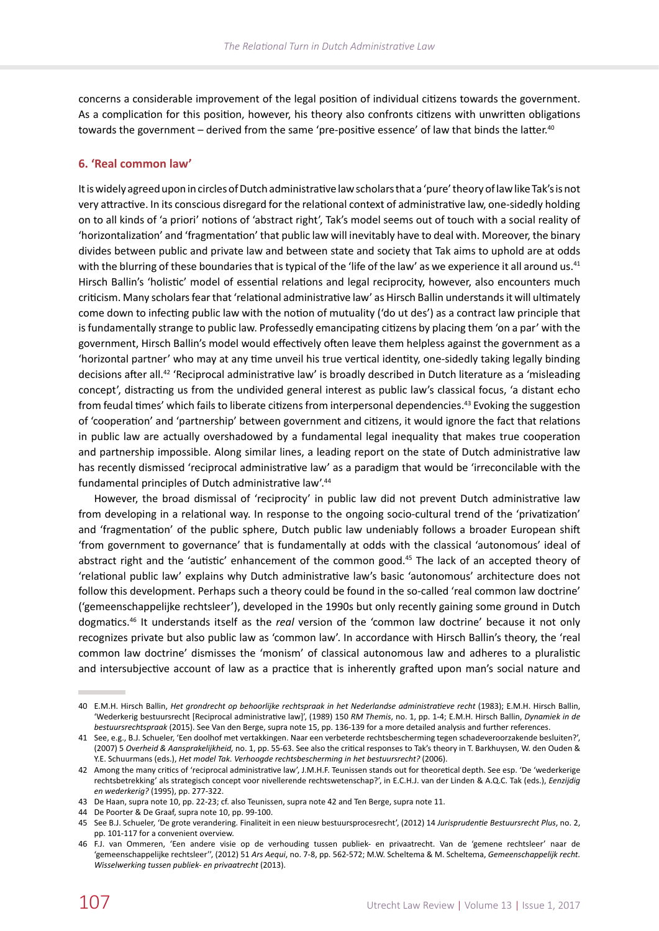concerns a considerable improvement of the legal position of individual citizens towards the government. As a complication for this position, however, his theory also confronts citizens with unwritten obligations towards the government – derived from the same 'pre-positive essence' of law that binds the latter.<sup>40</sup>

#### **6. 'Real common law'**

It is widely agreed upon in circles of Dutch administrative law scholars that a 'pure' theory of law like Tak's is not very attractive. In its conscious disregard for the relational context of administrative law, one-sidedly holding on to all kinds of 'a priori' notions of 'abstract right', Tak's model seems out of touch with a social reality of 'horizontalization' and 'fragmentation' that public law will inevitably have to deal with. Moreover, the binary divides between public and private law and between state and society that Tak aims to uphold are at odds with the blurring of these boundaries that is typical of the 'life of the law' as we experience it all around us.<sup>41</sup> Hirsch Ballin's 'holistic' model of essential relations and legal reciprocity, however, also encounters much criticism. Many scholars fear that 'relational administrative law' as Hirsch Ballin understands it will ultimately come down to infecting public law with the notion of mutuality ('do ut des') as a contract law principle that is fundamentally strange to public law. Professedly emancipating citizens by placing them 'on a par' with the government, Hirsch Ballin's model would effectively often leave them helpless against the government as a 'horizontal partner' who may at any time unveil his true vertical identity, one-sidedly taking legally binding decisions after all.42 'Reciprocal administrative law' is broadly described in Dutch literature as a 'misleading concept', distracting us from the undivided general interest as public law's classical focus, 'a distant echo from feudal times' which fails to liberate citizens from interpersonal dependencies.43 Evoking the suggestion of 'cooperation' and 'partnership' between government and citizens, it would ignore the fact that relations in public law are actually overshadowed by a fundamental legal inequality that makes true cooperation and partnership impossible. Along similar lines, a leading report on the state of Dutch administrative law has recently dismissed 'reciprocal administrative law' as a paradigm that would be 'irreconcilable with the fundamental principles of Dutch administrative law'.44

However, the broad dismissal of 'reciprocity' in public law did not prevent Dutch administrative law from developing in a relational way. In response to the ongoing socio-cultural trend of the 'privatization' and 'fragmentation' of the public sphere, Dutch public law undeniably follows a broader European shift 'from government to governance' that is fundamentally at odds with the classical 'autonomous' ideal of abstract right and the 'autistic' enhancement of the common good.<sup>45</sup> The lack of an accepted theory of 'relational public law' explains why Dutch administrative law's basic 'autonomous' architecture does not follow this development. Perhaps such a theory could be found in the so-called 'real common law doctrine' ('gemeenschappelijke rechtsleer'), developed in the 1990s but only recently gaining some ground in Dutch dogmatics.46 It understands itself as the *real* version of the 'common law doctrine' because it not only recognizes private but also public law as 'common law'. In accordance with Hirsch Ballin's theory, the 'real common law doctrine' dismisses the 'monism' of classical autonomous law and adheres to a pluralistic and intersubjective account of law as a practice that is inherently grafted upon man's social nature and

<sup>40</sup> E.M.H. Hirsch Ballin, *Het grondrecht op behoorlijke rechtspraak in het Nederlandse administratieve recht* (1983); E.M.H. Hirsch Ballin, 'Wederkerig bestuursrecht [Reciprocal administrative law]', (1989) 150 *RM Themis*, no. 1, pp. 1-4; E.M.H. Hirsch Ballin, *Dynamiek in de bestuursrechtspraak* (2015). See Van den Berge, supra note 15, pp. 136-139 for a more detailed analysis and further references.

<sup>41</sup> See, e.g., B.J. Schueler, 'Een doolhof met vertakkingen. Naar een verbeterde rechtsbescherming tegen schadeveroorzakende besluiten?', (2007) 5 *Overheid & Aansprakelijkheid,* no. 1, pp. 55-63. See also the critical responses to Tak's theory in T. Barkhuysen, W. den Ouden & Y.E. Schuurmans (eds.), *Het model Tak. Verhoogde rechtsbescherming in het bestuursrecht?* (2006).

<sup>42</sup> Among the many critics of 'reciprocal administrative law', J.M.H.F. Teunissen stands out for theoretical depth. See esp. 'De 'wederkerige rechtsbetrekking' als strategisch concept voor nivellerende rechtswetenschap?', in E.C.H.J. van der Linden & A.Q.C. Tak (eds.), *Eenzijdig en wederkerig?* (1995), pp. 277-322.

<sup>43</sup> De Haan, supra note 10, pp. 22-23; cf. also Teunissen, supra note 42 and Ten Berge, supra note 11.

<sup>44</sup> De Poorter & De Graaf, supra note 10, pp. 99-100.

<sup>45</sup> See B.J. Schueler, 'De grote verandering. Finaliteit in een nieuw bestuursprocesrecht', (2012) 14 *Jurisprudentie Bestuursrecht Plus*, no. 2, pp. 101-117 for a convenient overview.

<sup>46</sup> F.J. van Ommeren, 'Een andere visie op de verhouding tussen publiek- en privaatrecht. Van de 'gemene rechtsleer' naar de 'gemeenschappelijke rechtsleer'', (2012) 51 *Ars Aequi*, no. 7-8, pp. 562-572; M.W. Scheltema & M. Scheltema, *Gemeenschappelijk recht. Wisselwerking tussen publiek- en privaatrecht* (2013).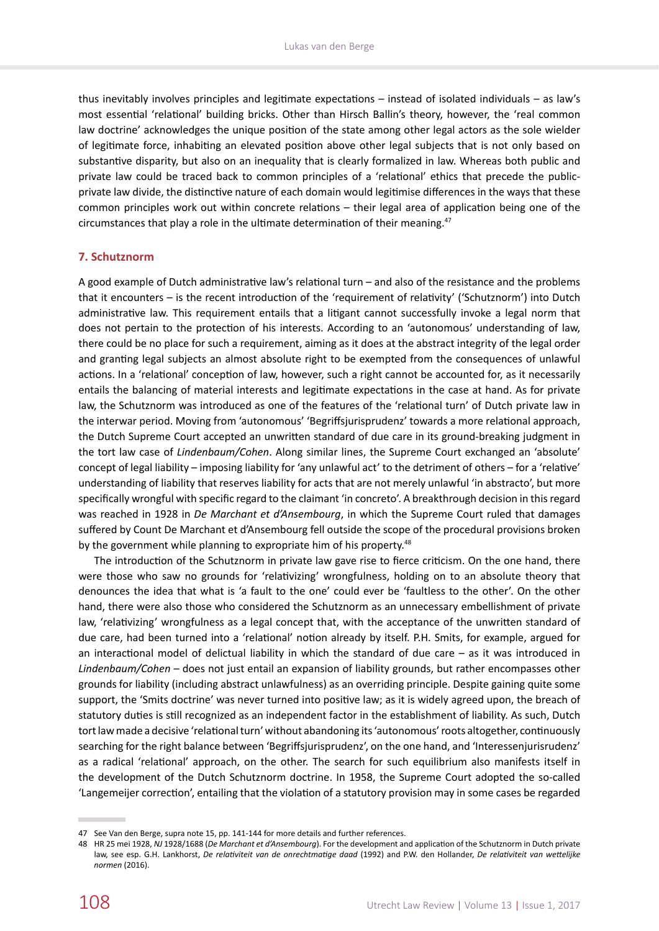thus inevitably involves principles and legitimate expectations – instead of isolated individuals – as law's most essential 'relational' building bricks. Other than Hirsch Ballin's theory, however, the 'real common law doctrine' acknowledges the unique position of the state among other legal actors as the sole wielder of legitimate force, inhabiting an elevated position above other legal subjects that is not only based on substantive disparity, but also on an inequality that is clearly formalized in law. Whereas both public and private law could be traced back to common principles of a 'relational' ethics that precede the publicprivate law divide, the distinctive nature of each domain would legitimise differences in the ways that these common principles work out within concrete relations – their legal area of application being one of the circumstances that play a role in the ultimate determination of their meaning.47

#### **7. Schutznorm**

A good example of Dutch administrative law's relational turn – and also of the resistance and the problems that it encounters – is the recent introduction of the 'requirement of relativity' ('Schutznorm') into Dutch administrative law. This requirement entails that a litigant cannot successfully invoke a legal norm that does not pertain to the protection of his interests. According to an 'autonomous' understanding of law, there could be no place for such a requirement, aiming as it does at the abstract integrity of the legal order and granting legal subjects an almost absolute right to be exempted from the consequences of unlawful actions. In a 'relational' conception of law, however, such a right cannot be accounted for, as it necessarily entails the balancing of material interests and legitimate expectations in the case at hand. As for private law, the Schutznorm was introduced as one of the features of the 'relational turn' of Dutch private law in the interwar period. Moving from 'autonomous' 'Begriffsjurisprudenz' towards a more relational approach, the Dutch Supreme Court accepted an unwritten standard of due care in its ground-breaking judgment in the tort law case of *Lindenbaum/Cohen*. Along similar lines, the Supreme Court exchanged an 'absolute' concept of legal liability – imposing liability for 'any unlawful act' to the detriment of others – for a 'relative' understanding of liability that reserves liability for acts that are not merely unlawful 'in abstracto', but more specifically wrongful with specific regard to the claimant 'in concreto'. A breakthrough decision in this regard was reached in 1928 in *De Marchant et d'Ansembourg*, in which the Supreme Court ruled that damages suffered by Count De Marchant et d'Ansembourg fell outside the scope of the procedural provisions broken by the government while planning to expropriate him of his property.<sup>48</sup>

The introduction of the Schutznorm in private law gave rise to fierce criticism. On the one hand, there were those who saw no grounds for 'relativizing' wrongfulness, holding on to an absolute theory that denounces the idea that what is 'a fault to the one' could ever be 'faultless to the other'. On the other hand, there were also those who considered the Schutznorm as an unnecessary embellishment of private law, 'relativizing' wrongfulness as a legal concept that, with the acceptance of the unwritten standard of due care, had been turned into a 'relational' notion already by itself. P.H. Smits, for example, argued for an interactional model of delictual liability in which the standard of due care – as it was introduced in *Lindenbaum/Cohen* – does not just entail an expansion of liability grounds, but rather encompasses other grounds for liability (including abstract unlawfulness) as an overriding principle. Despite gaining quite some support, the 'Smits doctrine' was never turned into positive law; as it is widely agreed upon, the breach of statutory duties is still recognized as an independent factor in the establishment of liability. As such, Dutch tort law made a decisive 'relational turn' without abandoning its 'autonomous' roots altogether, continuously searching for the right balance between 'Begriffsjurisprudenz', on the one hand, and 'Interessenjurisrudenz' as a radical 'relational' approach, on the other. The search for such equilibrium also manifests itself in the development of the Dutch Schutznorm doctrine. In 1958, the Supreme Court adopted the so-called 'Langemeijer correction', entailing that the violation of a statutory provision may in some cases be regarded

<sup>47</sup> See Van den Berge, supra note 15, pp. 141-144 for more details and further references.

<sup>48</sup> HR 25 mei 1928, *NJ* 1928/1688 (*De Marchant et d'Ansembourg*). For the development and application of the Schutznorm in Dutch private law, see esp. G.H. Lankhorst, *De relativiteit van de onrechtmatige daad* (1992) and P.W. den Hollander, *De relativiteit van wettelijke normen* (2016).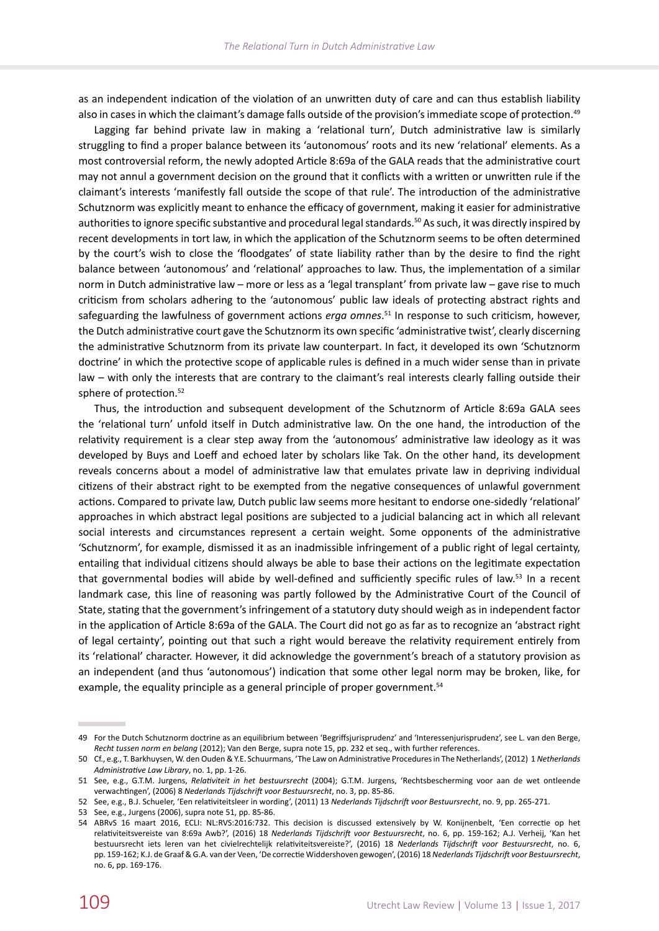as an independent indication of the violation of an unwritten duty of care and can thus establish liability also in cases in which the claimant's damage falls outside of the provision's immediate scope of protection.<sup>49</sup>

Lagging far behind private law in making a 'relational turn', Dutch administrative law is similarly struggling to find a proper balance between its 'autonomous' roots and its new 'relational' elements. As a most controversial reform, the newly adopted Article 8:69a of the GALA reads that the administrative court may not annul a government decision on the ground that it conflicts with a written or unwritten rule if the claimant's interests 'manifestly fall outside the scope of that rule'. The introduction of the administrative Schutznorm was explicitly meant to enhance the efficacy of government, making it easier for administrative authorities to ignore specific substantive and procedural legal standards.<sup>50</sup> As such, it was directly inspired by recent developments in tort law, in which the application of the Schutznorm seems to be often determined by the court's wish to close the 'floodgates' of state liability rather than by the desire to find the right balance between 'autonomous' and 'relational' approaches to law. Thus, the implementation of a similar norm in Dutch administrative law – more or less as a 'legal transplant' from private law – gave rise to much criticism from scholars adhering to the 'autonomous' public law ideals of protecting abstract rights and safeguarding the lawfulness of government actions *erga omnes*. 51 In response to such criticism, however, the Dutch administrative court gave the Schutznorm its own specific 'administrative twist', clearly discerning the administrative Schutznorm from its private law counterpart. In fact, it developed its own 'Schutznorm doctrine' in which the protective scope of applicable rules is defined in a much wider sense than in private law – with only the interests that are contrary to the claimant's real interests clearly falling outside their sphere of protection.<sup>52</sup>

Thus, the introduction and subsequent development of the Schutznorm of Article 8:69a GALA sees the 'relational turn' unfold itself in Dutch administrative law. On the one hand, the introduction of the relativity requirement is a clear step away from the 'autonomous' administrative law ideology as it was developed by Buys and Loeff and echoed later by scholars like Tak. On the other hand, its development reveals concerns about a model of administrative law that emulates private law in depriving individual citizens of their abstract right to be exempted from the negative consequences of unlawful government actions. Compared to private law, Dutch public law seems more hesitant to endorse one-sidedly 'relational' approaches in which abstract legal positions are subjected to a judicial balancing act in which all relevant social interests and circumstances represent a certain weight. Some opponents of the administrative 'Schutznorm', for example, dismissed it as an inadmissible infringement of a public right of legal certainty, entailing that individual citizens should always be able to base their actions on the legitimate expectation that governmental bodies will abide by well-defined and sufficiently specific rules of law.<sup>53</sup> In a recent landmark case, this line of reasoning was partly followed by the Administrative Court of the Council of State, stating that the government's infringement of a statutory duty should weigh as in independent factor in the application of Article 8:69a of the GALA. The Court did not go as far as to recognize an 'abstract right of legal certainty', pointing out that such a right would bereave the relativity requirement entirely from its 'relational' character. However, it did acknowledge the government's breach of a statutory provision as an independent (and thus 'autonomous') indication that some other legal norm may be broken, like, for example, the equality principle as a general principle of proper government.<sup>54</sup>

<sup>49</sup> For the Dutch Schutznorm doctrine as an equilibrium between 'Begriffsjurisprudenz' and 'Interessenjurisprudenz', see L. van den Berge, *Recht tussen norm en belang* (2012); Van den Berge, supra note 15, pp. 232 et seq., with further references.

<sup>50</sup> Cf., e.g., T. Barkhuysen, W. den Ouden & Y.E. Schuurmans, 'The Law on Administrative Procedures in The Netherlands', (2012) 1 *Netherlands Administrative Law Library*, no. 1, pp. 1-26.

<sup>51</sup> See, e.g., G.T.M. Jurgens, *Relativiteit in het bestuursrecht* (2004); G.T.M. Jurgens, 'Rechtsbescherming voor aan de wet ontleende verwachtingen', (2006) 8 *Nederlands Tijdschrift voor Bestuursrecht*, no. 3, pp. 85-86.

<sup>52</sup> See, e.g., B.J. Schueler, 'Een relativiteitsleer in wording', (2011) 13 *Nederlands Tijdschrift voor Bestuursrecht*, no. 9, pp. 265-271.

<sup>53</sup> See, e.g., Jurgens (2006), supra note 51, pp. 85-86.

<sup>54</sup> ABRvS 16 maart 2016, ECLI: NL:RVS:2016:732. This decision is discussed extensively by W. Konijnenbelt, 'Een correctie op het relativiteitsvereiste van 8:69a Awb?', (2016) 18 *Nederlands Tijdschrift voor Bestuursrecht*, no. 6, pp. 159-162; A.J. Verheij, 'Kan het bestuursrecht iets leren van het civielrechtelijk relativiteitsvereiste?', (2016) 18 *Nederlands Tijdschrift voor Bestuursrecht*, no. 6, pp. 159‑162; K.J. de Graaf & G.A. van der Veen, 'De correctie Widdershoven gewogen', (2016) 18 *Nederlands Tijdschrift voor Bestuursrecht*, no. 6, pp. 169-176.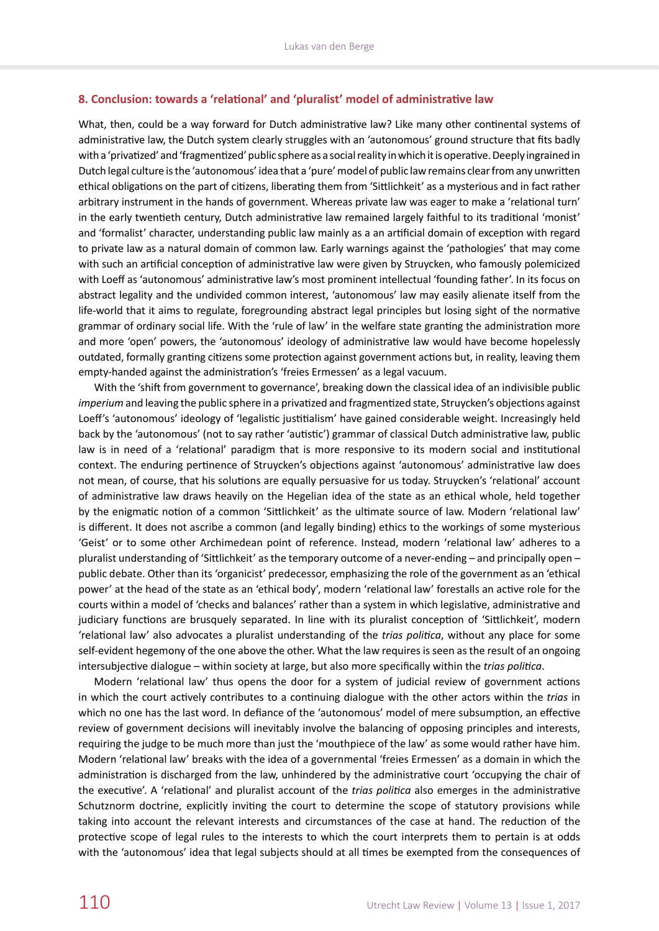#### **8. Conclusion: towards a 'relational' and 'pluralist' model of administrative law**

What, then, could be a way forward for Dutch administrative law? Like many other continental systems of administrative law, the Dutch system clearly struggles with an 'autonomous' ground structure that fits badly with a 'privatized' and 'fragmentized' public sphere as a social reality in which it is operative. Deeply ingrained in Dutch legal culture is the 'autonomous' idea that a 'pure' model of public law remains clear from any unwritten ethical obligations on the part of citizens, liberating them from 'Sittlichkeit' as a mysterious and in fact rather arbitrary instrument in the hands of government. Whereas private law was eager to make a 'relational turn' in the early twentieth century, Dutch administrative law remained largely faithful to its traditional 'monist' and 'formalist' character, understanding public law mainly as a an artificial domain of exception with regard to private law as a natural domain of common law. Early warnings against the 'pathologies' that may come with such an artificial conception of administrative law were given by Struycken, who famously polemicized with Loeff as 'autonomous' administrative law's most prominent intellectual 'founding father'. In its focus on abstract legality and the undivided common interest, 'autonomous' law may easily alienate itself from the life-world that it aims to regulate, foregrounding abstract legal principles but losing sight of the normative grammar of ordinary social life. With the 'rule of law' in the welfare state granting the administration more and more 'open' powers, the 'autonomous' ideology of administrative law would have become hopelessly outdated, formally granting citizens some protection against government actions but, in reality, leaving them empty-handed against the administration's 'freies Ermessen' as a legal vacuum.

With the 'shift from government to governance', breaking down the classical idea of an indivisible public *imperium* and leaving the public sphere in a privatized and fragmentized state, Struycken's objections against Loeff's 'autonomous' ideology of 'legalistic justitialism' have gained considerable weight. Increasingly held back by the 'autonomous' (not to say rather 'autistic') grammar of classical Dutch administrative law, public law is in need of a 'relational' paradigm that is more responsive to its modern social and institutional context. The enduring pertinence of Struycken's objections against 'autonomous' administrative law does not mean, of course, that his solutions are equally persuasive for us today. Struycken's 'relational' account of administrative law draws heavily on the Hegelian idea of the state as an ethical whole, held together by the enigmatic notion of a common 'Sittlichkeit' as the ultimate source of law. Modern 'relational law' is different. It does not ascribe a common (and legally binding) ethics to the workings of some mysterious 'Geist' or to some other Archimedean point of reference. Instead, modern 'relational law' adheres to a pluralist understanding of 'Sittlichkeit' as the temporary outcome of a never-ending – and principally open – public debate. Other than its 'organicist' predecessor, emphasizing the role of the government as an 'ethical power' at the head of the state as an 'ethical body', modern 'relational law' forestalls an active role for the courts within a model of 'checks and balances' rather than a system in which legislative, administrative and judiciary functions are brusquely separated. In line with its pluralist conception of 'Sittlichkeit', modern 'relational law' also advocates a pluralist understanding of the *trias politica*, without any place for some self-evident hegemony of the one above the other. What the law requires is seen as the result of an ongoing intersubjective dialogue – within society at large, but also more specifically within the *trias politica*.

Modern 'relational law' thus opens the door for a system of judicial review of government actions in which the court actively contributes to a continuing dialogue with the other actors within the *trias* in which no one has the last word. In defiance of the 'autonomous' model of mere subsumption, an effective review of government decisions will inevitably involve the balancing of opposing principles and interests, requiring the judge to be much more than just the 'mouthpiece of the law' as some would rather have him. Modern 'relational law' breaks with the idea of a governmental 'freies Ermessen' as a domain in which the administration is discharged from the law, unhindered by the administrative court 'occupying the chair of the executive'. A 'relational' and pluralist account of the *trias politica* also emerges in the administrative Schutznorm doctrine, explicitly inviting the court to determine the scope of statutory provisions while taking into account the relevant interests and circumstances of the case at hand. The reduction of the protective scope of legal rules to the interests to which the court interprets them to pertain is at odds with the 'autonomous' idea that legal subjects should at all times be exempted from the consequences of